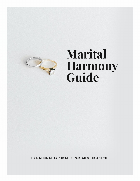

# Marital **Harmony**<br>Guide

BY NATIONAL TARBIYAT DEPARTMENT USA 2020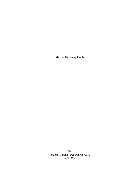**Marital Harmony Guide**

By National Tarbiyat Department, USA June 2020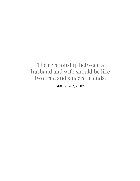# The relationship between a husband and wife should be like two true and sincere friends.

[Malfuzat, vol. 5, pp. 417]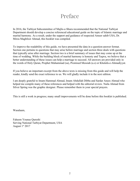# Preface

In 2016, the Tarbiyat Subcommittee of Majlis-e-Shura recommended that the National Tarbiyat Department should develop a concise referenced educational guide on the topic of Islamic marriage and marital harmony. As a result, under the support and guidance of respected Ameer sahib USA, Dr. Mirza Maghfoor Ahmad, this booklet was compiled.

To improve the readability of this guide, we have presented the data in a question-answer format. Section one pertains to questions that may arise before marriage and section three deals with questions that typically arise after marriage. Section two is a brief summary of issues that may come up at the time of wedding. While the building block of marital harmony is honesty and Taqwa, we believe that a better understanding of these issues can help a marriage to succeed. All answers are provided only in the words of Holy Quran, Prophet Muhammad (sa), Promised Messiah (a.s) or Khulafa-e-Ahmadiyyat.

If you believe an important excerpt from the above texts is missing from this guide and will help the reader, kindly send the exact reference to us. We will gladly include it in the next edition.

I am deeply grateful to Imam Hammad Ahmad, Imam Abdullah Dibba and Sardar Anees Ahmad who helped me compile many of these references and helped with the editorial review. Naila Ahmad from Silver Spring was the graphic designer. Please remember them in your special prayers.

This is still a work in progress; many small improvements will be done before this booklet is published.

Wasalaam,

Faheem Younus Qureshi Serving National Tarbiyat Department, USA August  $1<sup>st</sup> 2017$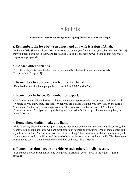# 7 Points

#### **Remember these seven things to bring happiness into your marriage**

#### **1. Remember, the love between a husband and wife is a sign of Allah.**

And one of His Signs is this, that He has created wives for you from among yourselves that you [30:22] may find peace of mind in them, and He has put love and tenderness between you. In that surely are .Signs for a people who reflect

#### **2. Be each other's friends**

The relationship between a husband and wife should be like two true and sincere friends. [Malfuzat, vol. 5, pp. 417]

#### **3. Remember to appreciate each other. Be thankful.**

"He who does not thank the people is not thankful to Allah." (Abu Dawud)

#### **4. Remember to listen. Remember to respect.**

Allah's Messenger said to her: "I know when you are pleased with me or angry with me." I said, "Whence do you know that?" He said, "When you are pleased with me, you say, 'No, by the Lord of Muhammad,' but when you are angry with me, then you say, 'No, by the Lord of Abraham.' " Thereupon I said, "Yes (you are right), but by Allah, O Allah's Messenger, I leave nothing but your name." (Bukhari)

#### **5. Remember, shaitan makes us fight.**

"Iblis (shaytan) places his throne upon water; he then sends detachments (for creating dissension); the nearer to him in rank are those who are most notorious in creating dissension. One of them comes and says: I did so and so. And he says: You have done nothing. Then one amongst them comes and says: I did not spare so and so until I sowed the seed of discord between a husband and a wife. The Satan goes near him and says: 'You have done well and then embraces him." (Muslim)

#### **6. Remember, don't argue or criticize each other, for Allah's sake.**

"I guarantee a house in Jannah for one who gives up arguing, even if he is in the right… " (Abu Dawud)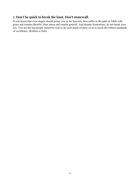## **7. Don't be quick to break the knot. Don't stonewall.**

If you desire that even angels should praise you in the heavens, then suffer in the path of Allah with grace and remain cheerful. Hear abuse and remain grateful. And despite frustrations, do not break your ties. You are the last people raised by God so do such deeds of piety so as to touch the loftiest standards of excellence. (Kishtee-e-Nuh)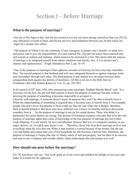# Section I - Before Marriage

#### **What is the purpose of marriage?**

And one of His Signs is this, that He has created wives for you from among yourselves that you [30:22] may find peace of mind in them, and He has put love and tenderness between you. In that surely are .Signs for a people who reflect

"The purpose of Nikah is for the continuity of one's progeny, to protect one's chastity, to attain love and peace, and to give the responsibility of a safe married life. The Qur'an names those married men and women as muhsin and muhsina, which means to be enclosed in a fort. This shows that the purpose of marriage is to safeguard oneself from satanic intuitions and attacks; also, it is to protect one's chastity and righteousness." (Fiqah Ahmadiyya Part 2, pp. 18-19)

"One of the purposes of marriage is that righteous servants of God may be born who may remember Him. The second purpose is that husband and wife may safeguard themselves against improper looks and misconduct through each other. The third purpose is that mutual love develops between them, safeguarding them against the distress of loneliness. All this is set out in the Holy Qur'an." (Chashma-i-Ma'rifat, Ruhani Khaza'in, Vol. 23, pp. 292-293)

In his speech of 25<sup>th</sup> June 1920, after announcing some marriages, Hadhrat Musleh Maud<sup>ra</sup> said: "It is necessary for the boy, the girl and their parents to know the purpose of marriage because without knowing the purpose of something it becomes impossible to act upon it …

Likewise with marriage, if someone doesn't know its purpose they won't be able to benefit from it. When the understanding of something is acquired then it becomes easy to benefit from it. For example, people who don't know the purpose of food could say that one eats when one is hungry; therefore, there is benefit behind it. But those who have reflected over it know its benefits and have discovered remedies from it … So the purpose of marriage is not jut for carnal desires. Those who think it is [primarily] for carnal desires are wrong. The doctors of European countries who take that to be the only purpose of marriage admit that a lack of knowledge of the true purpose of marriage has led to their weak offspring. It is not merely for love and affection, because that love is a temporal emotion, as are anger, desires, etc. in which man doesn't care … Therefore, those who base their marriage on love lose everything when the love dies out. When a man marries a woman because of her beauty, but she has very bad habits and cannot take care of the household, his life becomes a hell for him. Therefore, the purpose of marriage is Taqwa (the fear of Allah), safety of self and progeny, and for there to be success and ease in one's religious and worldly affairs. Islam understands this and teaches it as well."

## **How should one pray before the marriage?**

[25:75] And those who say, 'Our Lord, grant us of our wives and children the delight of our eyes, and make us a model for the righteous.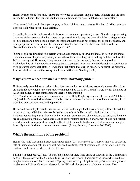Hazrat Musleh Maud (ra) said, "There are two types of Istikhara, one is general Istikhara and the other is specific Istikhara. The general Istikhara is done first and the specific Istikhara is done after."

"The general Istikhara is that a person pray without thinking of anyone specific that, 'O Allah, grant me a spouse with whose soul I have affinity.'

Secondly, the specific Istikhara should be observed when an opportunity arises. One should pray taking the name of the person with whom there is a proposal. In this way, the general Istikhara safeguards the specific Istikhara. Some people observe the first Istikhara and do not observe the second Istikhara, and some people observe the second Istikhara and do not observe the first Istikhara. Both should be observed and then the result ends up being correct."

"Some people are first fond of a certain woman, and then they observe Istikhara. In such an Istikhara, the inclination of the person generally affects the outcome and they start thinking that the result of the Istikhara was good. However, if they were not inclined to the proposal, then according to their inclination they think the Istikhara went against the proposal. However, the Istikhara did not go in favor of or against the proposal. Rather, it was their inclination that went in favor of or against the proposal, from which they come to the wrong conclusion." (Khutbate Nikah, pg. 435)

## **Why is there a need for such a marital harmony guide?**

Unfortunately complaints regarding this subject are on the rise. At times, extremely coarse allegations are made about women or they are severely mistreated by the in-laws and if it were not for the grace of Allah that in light of His commandment 'keep on admonishing'

(87:10) and in subservience and representation of the Holy Prophet (peace and blessings of Allah be on him) and the Promised Messiah (on whom be peace) attention is drawn to counsel and to advise, there would be great despondence and hopelessness.

Huzur said that today he would counsel and advice in the hope that his counselling will be blessed, he prayed that may Allah bless the words that he counsels with. Huzur said it is distressing to hear incidents concerning marital friction in the sense that our aims and objections are so lofty, and here we are entangled in egotistical webs borne out of trivial matters. Both men and women should self-reflect; in addition both sides of in-laws should self-reflect, for it could be the fault of either side - although it is usually the male side that commits the excesses. (Friday Sermon, November  $10<sup>th</sup> 2006$ )

# **What's the magnitude of the problem?**

Huzur (aba) said that on his instruction Ameer Sahib (UK) has carried out a survey that tells us that the rate of incidents of culpability amongst men are three times that of women [and] in 30% to 40% of the matters it is the in-laws who create the friction.

Putting it in perspective, Huzur (aba) said it is not as if there is no virtue or sincerity in the Community; certainly the majority of the Community is firm on what is good. There are even those who trust their daughters-in-law more than their own offspring. However, regarding this issue, if similar surveys were carried out in USA or Canada as the one in the UK, a similar picture would emerge there. The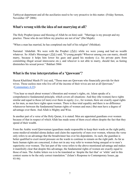Tarbiyyat department and all the auxiliaries need to be very proactive in this matter. (Friday Sermon, November  $10<sup>th</sup> 2006$ )

#### **What's wrong with the idea of not marrying at all?**

The Holy Prophet (peace and blessing of Allah be on him) said: "Marriage is my precept and my practice. Those who do not follow my practice are not of me" (Ibn Majah).

"When a man has married, he has completed one half of his religion" (Mishkat).

Narrated `Abdullah: We were with the Prophet (عسلم الله ) while we were young and had no wealth whatever. So Allah's Messenger (صلى الله عليه وسلم (said, "O young people! Whoever among you can marry, should marry, because it helps him lower his gaze and guard his modesty (i.e. his private parts from committing illegal sexual intercourse etc.), and whoever is not able to marry, should fast, as fasting diminishes his sexual power." Bukhari 5066

#### **What is the true interpretation of a "Qawwam"?**

Hazrat Khalifatul Masih IV (ra) said, "Those men are Qawwam who financially provide for their wives. Those useless men who live off of the income of their wives are not at all Qawwam." ([Commentary 4:35\)](https://www.alislam.org/quran/tafseer/?page=134®ion=UR&CR=V3,H2,T1)

"You hear so much about women's liberation and women's rights, etc. Islam speaks of a comprehensive fundamental principle, which covers all situations: And they (the women) have rights similar and equal to those (of men) over them in equity; (i.e., for women, there are exactly equal rights as for men, as men have rights upon women. There is thus total equality and there is no difference whatsoever between the fundamental human rights of women and men.) But men have a degree of advantage over them. And Allah is Mighty and Wise.

In another part of a verse of the Holy Quran, it is stated: Men are appointed guardians over women because of that in respect of which Allah has made some of them excel others despite the fact that they spend of their wealth.

From the Arabic word Qawwamun (guardians made responsible to keep their wards on the right path), some medieval-minded ulema deduce and claim the superiority of men over women, whereas the verse only refers to an advantage that the breadwinner has over his dependents. As such, the guardian is better qualified to exert moral pressure on the wards to continue to remain on the right path. As far as basic human rights are concerned, it does not in any way refer to women being unequal or to men's superiority over women. The last part of the verse refers to the above-mentioned advantage and makes it manifestly clear that despite this advantage, the fundamental rights of women are exactly equal to those of men. The Arabic letters wa is to be translated as 'despite the fact that' or 'while' and in this context seems to be the only correct translation." (Islam's Response to Contemporary Issues, pp. 93-94)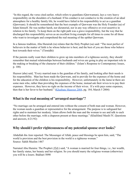"In this regard, the verse cited earlier, which refers to guardians (Qawwamun), lays a very heavy responsibility on the shoulders of a husband. If his conduct is not conducive to the creation of an ideal atmosphere for a healthy family life, he would have failed in his responsibility to act as a guardian (Qawwam). It should be remembered that the best example of Qawwam was the Holy Founder (sa) of Islam himself. He was neither harsh, nor dictatorial, nor in any way offensive or over-assertive in relation to his family. To keep them on the right path was a grave responsibility, but the way that he discharged this responsibility serves as an excellent living example for all times to come for all those who want to investigate and comprehend the real meaning of the epithet Qawwam.

In a famous tradition, Abu Hurairah (ra) relates that the Holy Prophet (sa) said: "The most perfect of believers in the matter of faith is he whose behavior is best; and the best of you are those who behave best towards their wives." (Tirmidhi)

If the parents really want their children to grow up into members of a righteous society, they should remember that mutual relationships between husbands and wives are going to play an important role in the making or breaking of the character of their children." (Islam's Response to Contemporary Issues, p. 108)

Huzoor (aba) said, "Every married man is the guardian of his family, and looking after their needs is his responsibility. Man has been made the Qawwam, and to provide for the expenses of the home and for the education of the children is his responsibility. However, unfortunately in the Jama'at there are some men who, rather than providing the expenses of the home, instead ask their wives to to pay their expenses. However, they have no right on the income of their wives. If a wife pays some expenses, then that is her favor to her husband." ([Khutbate Masroor 2004](http://www.alislam.org/urdu/sermon/FST20040702-UR.pdf), pg. 184, March 5 2004)

#### **What is the real meaning of "arranged marriage"?**

"No marriage can be arranged and entered into without the consent of both man and woman. However, the woman needs a guardian or representative for the arrangement. The purpose is to safeguard her rights and to maintain her modesty. Islam allows both the man and the woman to see and talk to each other before the marriage, with a chaperon present at these meetings." (Khalifatul Masih IV, Questions and answers, 6/21/92)

#### **Why should I prefer righteousness of my potential spouse over looks?**

Abdullah ibn Amr reported: The Messenger of Allah, peace and blessings be upon him, said, "The world is provision and the best provision in the world is a righteous woman." Source: Sahih Muslim 1467

Narrated Abu Huraira: The Prophet (صلى الله) said, "A woman is married for four things, i.e., her wealth, her family status, her beauty and her religion. So you should marry the religious woman (otherwise) you will be a losers. Bukhari 5090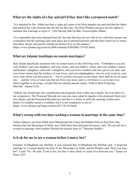## **What are the rights of a boy and girl if they don't like a proposed match?**

"It is narrated by Ibn 'Abbas (ra) that a virgin girl came to the Holy prophet (sa) and said that her father had married her with someone but she did not like him. The Holy Prophet (sa) gave her the option to maintain that marriage or reject it." (Abi Dawud, Bab Fil-Bikr Yuzawwijuha Abaha)

"It is regrettable that some demand from the first day that they do not wish to live with their spouse and it transpires that the marriage only took place due to parental pressure and that their intent was to marry elsewhere. Huzur said parents should not destroy lives in this manner." (https://www.alislam.org/archives/2006/summary/FSS20061110-EN.html)

#### **What are Islamic teachings on cousin marriages?**

Holy Quran specifically mentions who we cannot marry in the following verse. "Forbidden to you are your mothers, and your daughters, and your sisters, and your fathers' sisters, and your mothers' sisters, and brother's daughters, and sister's daughters, and your *foster*-mothers that have given you suck, and your foster-sisters, and the mothers of your wives, and your stepdaughters, who are your wards by your wives unto whom you have gone in — but if you have not gone in unto them, there shall be no sin upon you — and the wives of your sons that are from your loins; and *it is forbidden to you* to have two sisters together *in marriage*, except what has already passed; surely, Allah is Most Forgiving, Merciful.' (Quran 4:24)

"Indeed, one should take into consideration the proposals from within one's family, but even then it is not compulsory. The Promised Messiah (as) was also once asked in regards to the proposals from one's own family, and the Promised Messiah (as) said that it is better to settle the marriage within one's family if a suitable match is available, but it is not compulsory to do so." (https://www.alislam.org/friday-sermon/2017-03-03.html)

#### **What's wrong with two boys seeking a woman in marriage at the same time?**

Yahya related to me from Malik from Muhammad ibn Yahya ibn Habban from al-Araj from Abu Hurayra that the Messenger of Allah, may Allah bless him and grant him peace, said, "Do not ask for a woman in marriage when another Muslim has already done so." Muwatta Hadith 1

#### **Is it ok for me to see a woman before I marry her?**

Narrated Al-Mughirah bin Shu'bah: It was narrated that Al-Mughirah bin Shu'bah said: "I proposed marriage to a woman during the time of the Messenger of Allah, and the Prophet said: 'Have you seen her?' I said: 'No.' He said: 'Look at her, for that is more likely to create love between you.'" Sunan An Nasai 3235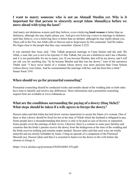#### **I want to marry someone who is not an Ahmadi Muslim yet. Why is it important for that person to sincerely accept Islam Ahmadiyya before we move ahead with tying the knot?**

And marry not idolatrous women until they believe; even a believing **bond**-**woman** is better than an idolatress, although she may *highly* please you. And give not *believing women* in marriage to idolaters until they believe; *even* a believing slave is better than an idolater, although he may *highly* please you. These call to the Fire, but Allah calls to Heaven and to forgiveness by His command. And He makes His Signs clear to the people that they may remember. (Quran 2:222)

It was narrated that Anas said: "Abu Talhah proposed marriage to Umm Sulaim and she said: 'By Allah, a man like you is not to be rejected, O Abu Talhah, but you are a disbeliever and I am a Muslim, and it is not permissible for me to marry you. If you become Muslim, that will be my dowry, and I will not ask you for anything else.' So he became Muslim and that was her dowry." (one of the narrators) Thabit said: "I have never heard of a woman whose dowry was more precious than Umm Sulaim (whose dowry was) Islam. And he consummated the marriage with her, and she bore him a child." Sunan Nasai 3341

#### **When should we go for premarital counseling?**

Premarital counseling should be conducted weeks and months ahead of the wedding date so both sides have time to identify and resolve any differences. More information and a premarital counseling request form are available at www.rishtanata.us

#### **What are the conditions surrounding the paying of a dowry (Huq Mehr)? What steps should be taken if a wife agrees to forego the dowry?**

Huzoor (aba) said that Islam has laid down various injunctions to secure the future of a woman. One of these is that a dowry should be fixed for her at the time of Nikah which the husband is obligated to pay. Some people have a misunderstanding that dowry is only to be paid in case of divorce or separation. Some people covet the earnings of their wives. Likewise, there is a custom in some poor families and countries that the bride's parents receive the dowry from the bridegroom at the time of the wedding and the bride receives nothing and remains empty handed. Huzoor (aba) said that such ways are totally unlawful and are strictly forbidden by Islam. Citing an episode of a companion of the Promised Messiah (as), Huzoor (aba) said that it is essential to hand over the dowry to the wife before she chooses to forego it.

(https://www.alislam.org/tj/sermons/FSJ20160401-EN.pdf)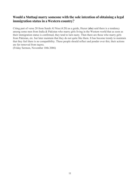#### **Would a Muttaqi marry someone with the sole intention of obtaining a legal immigration status in a Western country?**

Citing part of verse 20 from Surah Al Nisa (4:20) as a guide, Huzur (aba) said there is a tendency among some men from India & Pakistan who marry girls living in the Western world that as soon as their immigration status is confirmed, they tend to turn nasty. Then there are those who marry girls from Pakistan, etc. but later maintain that they do not quite like them. It has become trendy to maintain that they feel there is no compatibility. These people should reflect and ponder over this; their actions are far removed from taqwa.

(Friday Sermon, November 10th 2006)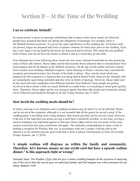# Section II - At the Time of the Wedding

#### **Can we celebrate Mehndi?**

So much money is spent on marriage celebrations that in places where these rituals are followed, people have assumed that these are among the obligations of marriage. For example, there is the Mehndi (henna) ceremony. It is given the same significance as the wedding day. Invitation cards are printed, stages are prepared and series of parties continue for many days prior to the wedding. Each day a new stage is set up [and] lavish meals are discussed and reviewed. This ritual has also grabbed hold of those who do not have the means to afford it and as a result they go into debt.

Non-Ahmadis have been following these rituals but now some Ahmadi households are also practicing some of these idle matters. Huzur (aba) said he had recently drawn attention that we should desist from extravagance and lavish dinners at the Mehndi ceremony. On the day [of the earlier sermon] a family from London were holding a Mehndi reception. Upon listening to Huzur's sermon, they cancelled the reception and instead invited a few friends of the bride to dinner. They sent the food which was prepared for the reception to a function that was being held at Baitul Futuh. Such are the Ahmadis who act immediately upon being reminded and also write in letters of apology. However, Huzur (aba) said he has received some complaints from Pakistan and also from Rabwah. Some people are getting involved in these rituals a little too much. Rabwah is a small town, so everything is noted quite quickly there. Therefore, Huzur (aba) said he was saying it openly that these idle rituals and ceremonies should not be followed and should be brought to an end. Friday Sermon, Jan 15 2010

#### **How lavish the wedding meals should be?**

In Islam, marriage is an obligation and a wedding reception may be held if it can be afforded. Meals can be served at the reception, although it is not essential that all the guests be served a meal. If the wedding party is travelling from a long distance, then maybe just they can be served a meal. However, if the law of the land does not permit serving a meal then it should be avoided. At one time, serving a meal at weddings was legislated against in Pakistan. Huzur (aba) said he was not aware of the exact current restrictions but some restrictions still apply. The authentic commandment in Islam is that of holding a reception for Walima, that, too, in accordance with one's means. God has told us the objective of our creation and any good work that is done to please God becomes [a form of] worship. (Friday Sermon, Jan 15 2010)

#### **A simple walima will disgrace us within the family and community. Therefore, let's borrow money on our credit card but have a upscale walima dinner." Is this approach right or wrong?**

Narrated Anas: The Prophet (صلى الله) did not give a better wedding banquet on the occasion of marrying any of his wives than the one he gave on marrying Zainab, and that banquet was with (consisted of) one sheep. Bukhari 5168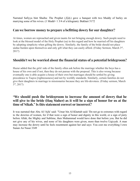Narrated Safiyya bint Shaiba: The Prophet (صلى الله عليه وسلم (gave a banquet with two Muddy of barley on marrying some of his wives. (1 Mudd= 1 3/4 of a kilogram). Bukhari 5172

#### **Can we borrow money to prepare a befitting dowry for our daughter?**

At times, women are reproached and given taunts for not bringing enough dowry. Such people need to look at the blessed model of the Holy Prophet (sa) in this regard and how he married off his daughters by adopting simplicity when gifting the dowry. Similarly, the family of the bride should not place undue burden upon themselves and only gift what they can easily afford. (Friday Sermon, March 3<sup>rd</sup>, 2017)

#### **Shouldn't we be worried about the financial status of a potential bridegroom?**

Huzur added that the girls' side of the family often ask before the marriage whether the boys has a house of his own and if not, then they do not pursue with the proposal. This is also wrong because eventually one is able acquire a house of their own but marriages should be settled by giving precedence to Taqwa [righteousness] and not by worldly standards. Similarly, certain families do not give their daughters in marriage to missionaries because they are life-devotees. (Friday sermon, March 3 rd , 2017)

#### **"We should push the bridegroom to increase the amount of dowry that he will give to the bride (Haq Maher) as it will be a sign of honor for us at the time of Nikah." Is this statement correct or incorrect?**

It was narrated that Abu Al-'Ajfa' said: "Umar bin Al-Khattab said: 'Do not go to extremes with regard to the dowries of women, for if that were a sign of honor and dignity in this world, or a sign of piety before Allah, the Mighty and Sublime, then Muhammad would have done that before you. But he did not give any of his wives, and none of his daughters were given, more than twelve Uqiyyah. A man may increase the dowry until he feels resentment against her and says: You cost me everything I own Sunan An Nasai 3349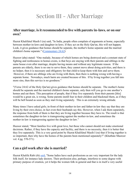# Section III - After Marriage

#### **After marriage, is it recommended to live with parents/in-laws, or on our own?**

Hazrat Khalifatul Masih I (ra) said, "In India, people often complain of arguments at home, especially between mother-in-laws and daughter-in-laws. If they act on the Holy Qur'an, this will not happen. Look, it gives guidance that homes should be separate, the mother's home separate and the married children's home separate." ([Commentary 24:62\)](http://www.alislam.org/quran/tafseer/?page=233®ion=H3)

Huzoor (aba) stated: "One malady, because of which homes are being destroyed and a constant state of fighting and restlessness in homes exists, is that boys are staying with their parents and siblings in the same house even after marriage, despite having means and without any legitimate reason. If the parents are elderly, there is no one to serve them, they cannot move about doing activities, and there is no helper, then it is necessary and obligatory for that child to keep them with him and serve them. However, if there are siblings who are living with them, then there is nothing wrong with having a separate home. Nowadays, much harm are created because of this. If by living together you fall into more sins, then this service is no goodness."

"(Verse 24:62 of the Holy Qur'an) gives guidance that homes should be separate. The mother's home should be separate and the married children's home separate, only then will you go to one another's homes and eat there. This perception of people, that if they live separately from their parents [this] would be a great sin, is wrong. Some parents instill fear in their children and blackmail them, as if they will be hell bound as soon as they start living separately. This is an extremely wrong attitude.

Many times I have asked girls; in-front of their mother-in-law and father-in-law they say that they are living by their own choice, in fact even their husbands say this. However, when I ask them separately, the response from both of them is that they are living together because they have to. The result is that sometimes the daughter-in-law is transgressing against the mother-in-law, and sometimes the mother-in-law is transgressing against the daughter-in-law."

Huzoor stated, "Most families live with great love, but those who cannot should not make emotional decisions. Rather, if they have the capacity and facility, and there is no necessity, then it is better that they live separately. This is a very good point by Hazrat Khalifatul Masih I (ra) that if living together is so important, then why have the homes of the parents been mentioned separately?" (Khutbate Masroor vol. 4 pg. 570-571)

#### **Can a girl work after she is married?**

Hazrat Khalifa Rabi (rh) [said](http://www2.alislam.org/askislam/mp3/MEI_19850806_09.mp3), "Some ladies have such professions as are very important for the lady folk itself, for instance lady doctors. Their profession also, perhaps, interferes to some degree with primary purpose of creation, yet it helps the women folk in general and that is in itself a very useful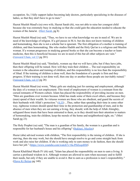occupation. So, I fully support ladies becoming lady doctors, particularly specializing in the diseases of ladies, so that they don't have to go to men."

Hazrat Musleh Maud's (ra) own wife, Hazrat Sarah (rh), was not able to raise her youngest child because she was extremely busy in studying so that she could gain the education needed to educate the women of the Jama'at. [\(Meri Sarah,](http://www.alislam.org/urdu/au/AU13-8.pdf) pg 8)

Hazrat Musleh Maud (ra) said, "Thus, we have to see what knowledge we are in need of. We are in need of the knowledge of religion. If a girl passes in M.A. but she does not know training of children and homemaking, then she is not a scholar but is ignorant. The first obligation of a mother is training of children, and then homemaking. She who studies Hadith and the Holy Qur'an is a religious and Muslim woman. If a woman progresses in studying general books so that she can become a teacher or learn medicine, then this is beneficial because we are in need of this but all other subjects are vain." ([Anwarul Ulum, vol 13](http://www.alislam.org/urdu/au/AU13-15.pdf) pg 201)

Hazrat Musleh Maud (ra) said, "Similarly, women say that we will have jobs; but if they have jobs, then their offspring will be ruined. How will they train their children ... The real responsibility on women is the education and training of children, and this responsibility is no less than the responsibility of Jihad. If the training of children is done well, then the foundation of a people is firm and they progress. If their training is not done well, then one day or another those people are inevitably ruined." ([Anwarul Ulum, vol 15](http://www.alislam.org/urdu/au/AU15-10.pdf) pg 28)

Hazrat Musleh Maud (ra) wrote, "Many girls are studying just for earning and employment, although the duty of a woman is not employment. This trend of employment of women is a remnant from the cursed remnants of Western culture. Islam has placed the responsibility of providing income on men. "Men are guardians over women because Allah has made some of them excel others, and because they (men) spend of their wealth. So virtuous women are those who are obedient, and guard the secrets of their husbands with Allah's protection."  $(4:35)$  $(4:35)$  ... Thus, rather than spending their time in some other way, righteous women should spend their time in the protection and guardianship of men, and in the absence of men when they are out earning a living, they should, with the help of Allah Almighty, safeguard those trusts that have been entrusted to them, as in they should turn their attention to matters of homemaking, train the children, keep the morals of the home and neighborhood right, etc." (Meri Sarah pg 23)

The Holy Prophet (sa) said, "The man is a guardian of his family, the woman is a guardian and is responsible for her husband's house and his offspring" ([Bukhari, Muslim\)](http://sunnah.com/riyadussaliheen/1/283)

Huzur (aba) advised women with children, "The first responsibility is the raising of children. If she is starving, then she may work, but she should have enough resolve to go and come straight back from work and also raise her children. If she is working only to earn money to do fashion, then she should leave her job." (<https://www.youtube.com/watch?v=0a-PHZcqxRM>)

Hazrat Khalifatul Masih IV (rh) said, "Islam has placed the responsibility on men to earn a living. It carries a profound wisdom in it. Although women are allowed to earn when necessary and to fulfill their needs, but only if they are unable to avoid it. But to earn as a profession is men's responsibility." ([Hawa Ki Betian](http://www.alislam.org/urdu/pdf/HawaKiBatian.pdf) pg 148)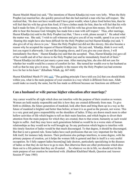Hazrat Musleh Maud (ra) said, "The intentions of Hazrat Khadija (ra) were very lofty. When the Holy Prophet (sa) married her, she quickly perceived that she had married a man who has self-respect. She realized that, 'He does not have wealth and I have great wealth; when I place food before him, then he will feel that his wife has given him food; if I have clothes made for him, then he will feel that his wife had it made for him; if I give him money, he will feel his wife has given him money. He will not be able to bear this because God Almighty has made him a man with self respect.' Thus, after marriage, Hazrat Khadija (ra) said to the Holy Prophet (sa) that, 'I have a wish, please accept it.' He asked what the matter was. She said, 'I wish to call witnesses and give you all of my wealth, spend it as you wish.' Hearing this might have also been difficult for the Holy Prophet (sa) but Hazrat Khadija (ra) said, 'I also give all of my slaves to you.' Since the Holy Prophet (sa) did not like slavery, this also became a reason why he accepted the request of Hazrat Khadija (ra). He (sa) said, 'Khadija, think it over well, lest you regret it afterwards. I do not like keeping slaves, and if you give me your slaves, I will immediately free them.' Hazrat Khadija (ra) said that she accepted. Thus, Hazrat Khadija (ra) gave all of her wealth and all of her slaves to the Holy Prophet (sa) and he immediately freed all of them." "Hazrat Khadija (ra) did not just marry a poor man. After marrying him, she also did not care for whether her wealth would be a source of comfort for her. She turned her wealth over to her husband as well so that he may give it away. This quality is the reason why the Holy Prophet (sa) had extreme love for her in his heart." (Khutbate Nikah, pg. 667-668)

Hazrat Khalifatul Masih IV (rh) [said](http://www2.alislam.org/askislam/mp3/MEI_19850806_09.mp3), "The guiding principle I have told you [is] that you should think within you, what is the main purpose of your creation in a way which is different from men. Allah could make us exactly the same, but He has made us different because our functions are different."

#### **Can a husband or wife pursue higher education after marriage?**

Any career would be all right which does not interfere with the purpose of their creation as women. Women are held mainly responsible and this is how they are created differently from man. To give birth to children, the future generation of mankind, look after them and bring them up in a way as the future of mankind is brighter and better than before; at least it is as good as the present, not worse. This is a very great and grave responsibility on the shoulders of ladies. If they are drawn much more to other hollow activities of life which begins to tell on their main function, and which begins to divert their attention from the main purpose for which they are created, then to that extent, humanity as such would begin to suffer. And they may leave such generations behind as would be in a worse state of human relationships as they would not be well brought up. So any profession which begins to interfere with this timely function of ladies would be that much discouraged. To that degree, it should be discouraged. But that is not a general rule. Some ladies have such professions that are very important for the lady folk itself, for instance lady doctors. Their profession also perhaps interferes, to some degree, with the primary purpose of creation, yet it helps the women folk in general and that in itself is a very useful occupation. So I fully support ladies becom[ing] lady doctors, particularly specializing in the diseases of ladies so that they do not have to go to men. But otherwise there are other professions which draw them out to a life pattern that they are ill-suited … So whatever we do in life, we should not let this main purpose of our creation be interfered with. (Hadhrat Khalifatul Masih, Question and Answer Session 8<sup>th</sup> June 1985)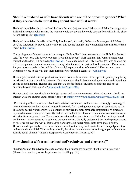## **Should a husband or wife have friends who are of the opposite gender? What if they are co-workers that they spend time with at work?**

Hadhrat Umm Salamah (ra), wife of the Holy Prophet (sa), narrates, "Whenever Allah's Messenger (sa) finished his prayers with Taslim, the women would get up and he would stay on for a while in his place before getting up." ([Bukhari\)](http://sunnah.com/bukhari/10/230)

Hadhrat Umm Salamah, wife of the Holy Prophet (sa), also said, "When the Messenger of Allah (sa) gave the salutation, he stayed for a while. By this people thought that women should return earlier than men." ([Abu Dawud](http://sunnah.com/abudawud/2/651))

Concerning one of the entrances to his mosque, Hadhrat Ibn 'Umar narrated that the Holy Prophet (sa) said, "If we reserve this door for women (it would be better)" Nafi' said that Ibn 'Umar did not enter through it (the door) till he died ([Abu Dawud\)](http://sunnah.com/abudawud/2/181). Also, once when the Holy Prophet (sa) was coming out of the mosque and men and women were mingled in the road, he (sa) said to the women, "Draw back, for you must not walk in the middle of the road; keep to the sides of the road." Then women were keeping so close to the wall that their garments were rubbing against it. ([Abu Dawud](http://sunnah.com/abudawud/43/500))

Huzoor (aba) said that in our professional interactions with someone of the opposite gender, they being an Ahmadi or non-Ahmadi is irrelevant. Our interaction should be concerning our work and should not extend to socialization. Huzoor also said that we should think of students as students, and not as anything beyond that. (@ 56:27 [http://youtu.be/ZyjptI3Z0ts\)](http://youtu.be/ZyjptI3Z0ts)

Huzoor stated that men should do Tabligh to men and women to women. Men and women should not interact with one another unnecessarily. (@ 7:45 [https://www.youtube.com/watch?v=bs2Uc3JgFVE\)](https://www.youtube.com/watch?v=bs2Uc3JgFVE)

"Free mixing of both sexes and clandestine affairs between men and women are strongly discouraged. Men and women are both advised to abstain not only from casting covetous eyes at each other, but to abstain from such visual or physical contacts as may lead to uncontrollable temptations. Women are expected to cover themselves decently and are advised not to behave in a manner as to attract untoward attention from wayward men. The use of cosmetics and ornaments are not forbidden, but they should not be worn when appearing in public to attract attention. We fully understand that in the present mood of societies all over the world, this teaching appears to be rather harsh, restrictive and colorless. However, a deeper study of the entire Islamic social system may lead one to believe this judgement to be hasty and superficial. This teaching should, therefore, be understood as an integral part of the entire Islamic social climate." (Islam's Response to Contemporary Issues, p. 92)

## **How should a wife treat her husband's relatives (and vice versa)?**

"Hadrat Amman Jan advised ladies to consider their husband's relatives like their own relatives." (Hazrat Amman Jan (ra), An Inspiration for Us All, pg. 187)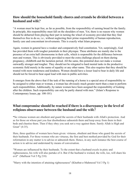#### **How should the household/family chores and errands be divided between a husband and wife?**

"A woman must be kept free, as far as possible, from the responsibility of earning bread for the family. In principle, this responsibility must fall on the shoulders of men. Yet, there is no reason why women should be debarred from playing their part in turning the wheel of economy provided that they find themselves free to do so, i.e., without neglecting their prime responsibility of human reproduction, family care and concomitant involvements. This is exactly what Islam proposes.

Again, women in general have a weaker and comparatively frail constitution. Yet, surprisingly, God has provided them with tougher potentials in their physique. These attributes are mainly due to the presence of an extra half chromosome in their cells, which is responsible for the difference between men and women. This is obviously provided to meet the extra challenge placed on them during pregnancy, childbirth and the lactation period. All the same, this potential does not make a woman outwardly stronger and tougher. They should not be relegated to hard menial tasks in the productive economic field merely in the name of equality or any other name. This also requires that they should be treated with more tenderness and kindness. Women should have a lesser load to bear in daily life and should not be forced to bear equal load with men in public activities.

It emerges from the above that if the task of the running of a home is a special area of responsibility to be assigned to either man or woman, a woman has obviously much greater merit than a man to perform such responsibilities. Additionally, by nature women have been assigned the responsibility of looking after the children. Such responsibility can only be partly shared with men." (Islam's Response to Contemporary Issues, pp. 100-101)

## **What compromise should be reached if there is a discrepancy in the level of religious observance between the husband and the wife?**

**"**So virtuous women are obedient and guard the secrets of their husbands with Allah's protection. And as for those on whose part you fear disobedience admonish them and keep away from them in their beds and chastise them. Then if they obey you seek not a way against them. Surely Allah is High and Great" (4:35).

Here, three qualities of women have been given: virtuous, obedient and those who guard the secrets of their husbands. For those women who are virtuous, the first and best method provided by God for their reformation in any matter is to advise or admonish them. Hence, in any such instance the best course of action is to advise and understand by means of conversation.

"Women are influenced by their husbands. To the extent that a husband excels in piety and righteousness, his wife will also partake of it. But if the husband is wicked, the wife, too, will share his evil" (Malfuzat Vol 5 Pg 218)

"Marry with the intention of attaining righteousness" (Khutbat-e-Mahmood Vol 3 Pg 1)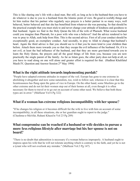This is like sharing one's life with a dead man. But still, as long as he is the husband then you have to do whatever is due to you to a husband from the Islamic point of view. Be good in worldly things and let him realize that his partner who regularly says prayers is a better partner in so many ways, well behaved, better behaved and that she has benefitted from whatever she was pursuing. So that should be the practical example that you must stick to and never change your attitude of kindness and goodness to that husband. Again we find in the Holy Quran the life of the wife of Pharaoh. What worse husband could you imagine than Pharoah, for a poor wife who was a believer? And the advice rendered to her was to pray to Allah, seek help from Him. This is the second advice. First of all your conduct should be exceptionally good, an exemplary conduct. And secondly, to pray to Allah to change that husband's heart. Again the third advice is that you should see to it that you be more kind to your children than before. Attach them more towards you so that they escape the evil influence of the husband. Or, if it is not evil, at least the bad influence of the husband, and that they are more gravitated towards you to learn the Holy Quran, the prayers and all the good things of life from you, because you are now practically the single parent of the family. As far as Islam goes, the other party does not help at all, so you have to read along on one will alone and greater effort is required for that. (Hadhrat Khalifatul Masih IV, Question and Answer Session 2<sup>nd</sup> May 1994)

#### **What is the right attitude towards implementing purdah?**

"People have adapted extreme attitudes in respect of the veil. Europe has gone to one extreme in abolishing it altogether and now some naturalists, too, wish to follow suit, whereas it is clear that this licentiousness has flung open the gates of vice in Europe. On the other hand, some Muslims go to the other extreme and do not let their women step out of their homes at all, even though it is often necessary for them to travel or to go out on account of some other need. We believe that both these types are in error." (Malfuzat Vol 6 Pg 322)

#### **What if a woman has extreme religious incompatibility with her spouse?**

"If he changes his religion or it becomes difficult for the wife to live with him on account of some incompatibility; in all these situations, she or her guardian ought to report to the judge." (Chashma-e-Ma'rifat, Ruhani Khaza'in Vol 23 Pg 289)

#### **What compromise can be reached if a husband or wife decides to pursue a more/less religious lifestyle after marriage but his/her spouse is not on board?**

"There is no doubt that admonition is necessary if a woman behaves improperly. A husband ought to impress upon his wife that he will not tolerate anything which is contrary to the faith, and yet he is not a tyrant who will not overlook any mistake." (Malfuzat Vol.3 Pg 147)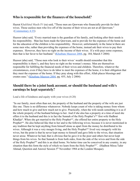## **Who is responsible for the finances of the household?**

Hazrat Khalifatul Masih IV (ra) said, "Those men are Qawwam who financially provide for their wives. Those useless men who live off of the income of their wives are not at all Qawwam." ([Commentary 4:35\)](https://www.alislam.org/quran/tafseer/?page=134®ion=UR&CR=V3,H2,T1)

Huzoor (aba) said, "Every married man is the guardian of his family, and looking after their needs is his responsibility. Man has been made the Qawwam, and to provide for the expenses of the home and for the education of the children is his responsibility. However, unfortunately in the Jama'at there are some men who, rather than providing the expenses of the home, instead ask their wives to pay their expenses. However, they have no right on the income of their wives. If a wife pays some expenses, then that is her favor to her husband." ([Khutbate Masroor 2004](http://www.alislam.org/urdu/sermon/FST20040702-UR.pdf), pg. 184, March 5 2004)

Huzoor (aba) said, "Those men who look to their wives' wealth should remember that this responsibility is there's, and they have no right on the woman's money. Men are themselves responsible for fulfilling the financial needs of their wives and children. Therefore, whatever the circumstances, even if they have to do labor to meet the expenses of the home, it is their obligation that they meet the expenses of the home. If they pray along with this effort, Allah places blessings and creates ease." ([Khutbate Masroor 2004,](http://www.alislam.org/urdu/sermon/FST20040702-UR.pdf) pg. 455, July 2 2004)

#### **Should there be a joint bank account, or should the husband and wife's earnings be kept separately?**

Lead a life of kindness and equity with your wives (4:20)

"In our family, most often than not, the property of the husband and the property of the wife are just like one. There is no difference whatsoever. Nobody keeps count of who is taking money from whom and how much to give and how much not to give. Practically, when the wife needs something it is as if the whole property of the husband belongs to her. And if she also has a property at a time of need she offers it to the husband and this is in fact the Sunnah of the Holy Prophet's<sup>saw</sup> first wife Hadhrat Khadija<sup>ra</sup>. When she got married to the Holy Prophet<sup>saw</sup>, she offered her entire property to the Holy Prophet<sup>saw</sup>. He also behaved like that to her and to the following wives; because it is never mentioned in any tradition that he kept anything from himself alone as apart from the money he distributed to his wives. Although it was a very meagre living, and the Holy Prophet<sup>saw</sup> lived very meagerly with his wives, but the point is that he never kept money to himself and gave little to the wives, that situation never arose. Whatever he had, that is obvious that he gave it to the poor and others but never kept things from his wives. So that Sunnah is from both sides, from the side of the wives and from the side of the Holy Prophet<sup>saw</sup> and this is an ideal home. No better time can be conceived in any country, in any situation than this form the style of which we learn from the Holy Prophet<sup>saw"</sup>. (Hadhrat Mirza Tahir Ahmad, Question and Answer Session 5<sup>th</sup> November 1984 at the London Mosque).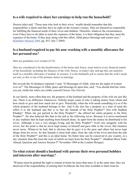## **Is a wife required to share her earnings to help run the household?**

Huzoor (aba) said, "Those men who look to their wives' wealth should remember that this responsibility is theirs and they have no right on the woman's money. Men are themselves responsible for fulfilling the financial needs of their wives and children. Therefore, whatever the circumstances, even if they have to do labor to meet the expenses of the home, it is their obligation that they meet the expenses of the home. If they pray along with this effort, Allah places blessings and creates ease." ([Khutbate Masroor 2004,](http://www.alislam.org/urdu/sermon/FST20040702-UR.pdf) pg. 455, July 2 2004)

#### **Is a husband required to pay his non-working wife a monthly allowance for her personal use?**

Men are guardians over women (4:35)

Men are considered to be the breadwinners of the home and, hence, must tend to every financial matter of the household, including the finances of the wife. Hence, in today's day and age this can manifest itself in a monthly allowance if needed. In essence, it is the husband's job to ensure that the wife's needs are met, as this is one of his primary duties in marriage.

Mu'awiyah ibn Al-Qushayri reported: I said, "O Messenger of Allah, what are the rights of women over us?" The Messenger of Allah, peace and blessings be upon him, said, "You should feed her when you eat, clothe her when you clothe yourself (Sunan Abu Dau'ud)

In our family, more often than not, the property of the husband and the property of the wife are just like one. There is no difference whatsoever. Nobody keeps count of who is taking money from whom and how much to give and how much not to give. Practically, when the wife needs something it is as if the whole property of the husband belongs to her. And if she also has a property at a time of need she offers it to the husband and this is in fact the Sunnah of the Holy Prophet<sup>saw</sup> first wife Hadhrat Khadija<sup>ra</sup>. When she got parried to the Holy Prophet<sup>saw</sup>, she offered her entire property to the Holy Prophet<sup>saw</sup>. He also behaved like that to her and to the following wives. Because it is never mentioned in any tradition that he kept anything from himself alone. As apart from the money he distributed to his wives. Although it was a very meagre living, and the Holy Prophet<sup>saw</sup> lived very meagerly with his wives, but the point is that he never kept money to himself and gave little to the wives, that situation never arose. Whatever he had, that is obvious that he gave it to the poor and others but never kept things from his wives. So that Sunnah is from both sides, from the side of the wives and from the side of the Holy Prophetsaw and this is an ideal home. No better time can be conceived in any country, in a any situation than this form the style of which we learn from the Holy Prophet<sup>saw</sup>. (Hadhrat Mirza Tahir Ahmad, Question and Answer Session 5<sup>th</sup> November 1984 at the London Mosque).

#### **To what extent should a husband/wife pursue their own personal hobbies and interests after marriage?**

"Women must be granted the right to remain at home far more than men; if, at the same time, they are absolved of the responsibility of earning their livelihood, the free time available to them must be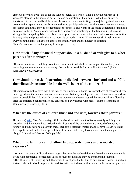employed for their own sake or for the sake of society as a whole. That is how the concept of 'a woman's place is in the home' is born. There is no question of their being tied to their aprons or imprisoned in the four walls of the home. In no way does Islam infringe [upon] the rights of women to go out in their spare time to perform any task or to participate in any healthy pursuit they may choose, providing, again, that they do not jeopardize the interests and rights of the future generation of mankind entrusted to them. Among other reasons, this is why over-socializing or the free mixing of sexes is strongly discouraged by Islam. For Islam to propose that the home is the center of a woman's activities is a very wise and practical solution to most ills of modern times. When women shift their interests away from the home, it has to be at the cost of family life and the neglect of children." (Islam's Response to Contemporary Issues, pp. 101-102)

#### **How much, if any, financial support should a husband or wife give to his/her parents after marriage?**

"If parents are in need and they do not have wealth with which they can support themselves, then, according to circumstances and capacity, the son is responsible for providing for them." (Fiqh Ahmadiyya, vol.2 pg.108).

#### **How should the task of parenting be divided between a husband and wife? Is the wife solely responsible for the well-being of the children?**

"It emerges from the above that if the task of the running of a home is a special area of responsibility to be assigned to either man or woman, a woman has obviously much greater merit than a man to perform such responsibilities. Additionally, by nature women have been assigned the responsibility of looking after the children. Such responsibility can only be partly shared with men." (Islam's Response to Contemporary Issues, pp. 101)

#### **What are the duties of children (husband and wife) towards their parents?**

Huzur (aba[\)](http://www.alislam.org/urdu/sermon/FST20041224-UR.pdf) [said](http://www.alislam.org/urdu/sermon/FST20041224-UR.pdf), "So after marriage, if the husband and wife want to live separately and they can afford to, and the parents have arrived in that last part of life where they are in need of someone's support and they have no child with them, then it is a different matter and they have to sacrifice (and live together), and that is the responsibility of the son. But if they have no son, then the daughter is obliged." (Khutbate Masroor, 2004 pg. 934)

#### **What if the families cannot afford two separate homes and associated expenses?**

"At times, the cause of discord in marriage is because the husband does not have his own house and is living with his parents. Sometimes this is because the husband may be experiencing financial difficulties or is still studying and, therefore, it is not possible for him to buy his own house. In such an instance, the wife should support him and live with her in-laws until he acquires the means to purchase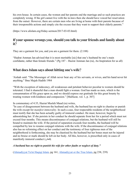his own house. In certain cases, the women and her parents end the marriage and so such practices are completely wrong. If the girl cannot live with the in-laws then she should have voiced her reservation from the outset. However, there are certain men who are living at home with their parents because of their irresponsible actions and simply cite the excuse that they want to support their elderly parents."

(https://www.alislam.org/friday-sermon/2017-03-03.html)

#### **If your spouse wrongs you, should you talk to your friends and family about it?**

They are a garment for you, and you are a garment for them. (2:188)

"Hadrat Amman Jan advised that it is most meritable [sic] that one's husband be one's main confidante, rather than female friends." (Pg 187 – Hazrat Amman Jan (ra), An Inspiration for us all)

## **What does Islam says about hitting one's wife?**

'Aishah said: "The Messenger of Allah never beat any of his servants, or wives, and his hand never hit anything." Ibne Majah Hadith 1984

"With the exception of indecency, all weaknesses and petulant behavior peculiar to women should be tolerated. I find it shameful that a man should fight a woman. God has made us men, which is the consummation of His grace upon us, and we should express our gratitude for this great bounty by treating women with kindness and compassion." [Malfuzat, vol. 1, p. 307]

In commentary of 4:35, Hazrat Musleh Maud (ra) writes,

"In case of disagreement between the husband and wife, the husband has no right to chastise or punish the wife except for *manifest immorality.* In such a case, four respectable residents of the neighborhood must testify that she has been actually guilty of immoral conduct. He must, however, begin by admonishing her. If she persists in her conduct he should separate from her for a period which must not exceed four months. This means discontinuance of conjugal relations, but the husband will still be bound to maintain the wife. If the period of separation exceeds four months, the husband will be compelled by law to resume conjugal relations with the wife. If the discontinuance of conjugal relations also has no reforming effect on her conduct and the testimony of four righteous men of the neighborhood is forthcoming, she may be chastised by the husband but her bones must not be injured and no bruise or mark should be left on her body. All this, however, is prescribed only in cases of manifestly immoral conduct (فحش).

#### *A husband has no right to punish his wife for other faults or neglect of duty."*

([Ahmadiyyat Ya'ni Haqiqi Islam,](http://www.alislam.org/urdu/au/AU8-5.pdf) pg 161, [Ahmadiyyat or the True Islam](http://www.alislam.org/library/books/Ahmadiyyat-or-The-True-Islam-20080506MN.pdf), pg 238, 239)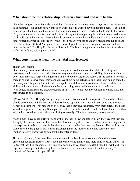#### **What should be the relationship between a husband and wife be like?**

"No other religion has safeguarded the rights of women as Islam has done. It lays down the injunction so succinctly: 'Just as men have rights upon women, so do women have rights upon men.' It is said of some people that they treat their wives like shoes and require them to perform the lowliest of services. They abuse them and despise them and enforce the injunction regarding the veil with such harshness as to virtually bury them alive. The relationship between a husband and wife should be like two true and sincere friends. After all, it is the wife who is the primary witness of a man's high moral qualities and his relationship with God Almighty. If his relationship with his wife is not good, how can he be at peace with God? The Holy Prophet (saw) has said: 'The best among you is he who is best towards his wife.'" (Malfuzat, vol. 5, pp. 417-418)

#### **What constitutes as negative prenatal interference?**

#### Huzur (aba) stated:

"One malady, because of which homes are being destroyed and a constant state of fighting and restlessness in homes exists, is that boys are staying with their parents and siblings in the same house even after marriage, despite having means and without any legitimate reason. If the parents are elderly, there is no one to serve them, they cannot move about doing activities, and there is no helper, then it is necessary and obligatory for that child to keep them with him and serve them. However, if there are siblings who are living with them, then there is nothing wrong with having a separate home. Nowadays, much harm are created because of this. If by living together you fall into more sins, then this service is no goodness."

"(Verse 24:62 of the Holy Qur'an) gives guidance that homes should be separate. The mother's home should be separate and the married children's home separate - only then will you go to one another's homes and eat there. This perception of people, that if they live separately from their parents then that would be a great sin, is wrong. Some parents instill fear in their children and blackmail them, as if they will be hell bound as soon as they start living separately. This is an extremely wrong attitude.

Many times I have asked girls; in-front of their mother-in-law and father-in-law they say that they are living by their own choice; in fact, even their husbands say this. However, when I ask them separately, the response from both of them is that they are living together because they have to. The result is that sometimes the daughter-in-law is transgressing against the mother-in-law and sometimes the mother-in-law is transgressing against the daughter-in-law."

Huzur (aba) stated, "Most families live with great love, but those who cannot should not make emotional decisions. Rather, if they have the capacity and facility, and there is no necessity, then it is better that they live separately. This is a very good point by Hazrat Khalifatul Masih I (ra) that if living together is so important, then why have the homes of the parents been mentioned separately?" (Khutbate Masroor vol. 4 pg. 570-571)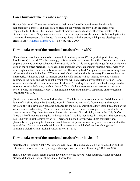## **Can a husband take his wife's money?**

Huzoor (aba) said, "Those men who look to their wives' wealth should remember that this responsibility is there's, and they have no right on the woman's money. Men are themselves responsible for fulfilling the financial needs of their wives and children. Therefore, whatever the circumstances, even if they have to do labor to meet the expenses of the home, it is their obligation that they meet the expenses of the home. If they pray along with this effort, Allah places blessings and creates ease." ([Khutbate Masroor 2004,](http://www.alislam.org/urdu/sermon/FST20040702-UR.pdf) pg. 455, July 2 2004)

#### **How to take care of the emotional needs of your wife?**

"Do not ever consider women to be contemptible and insignificant!! Our perfect guide, the Holy Prophet (saw) has said: 'The best among you is he who is best towards his wife.' How can one claim to be pious when he does not behave well towards his wife … It is unacceptable to get furious or hit one's wife on the slightest pretense. There have been instances where an enraged husband hit his wife over some slight matter … and mortally wounded her. This is why God Almighty has said concerning them: "Consort with them in kindness." There is no doubt that admonition is necessary if a woman behaves improperly. A husband ought to impress upon his wife that he will not tolerate anything which is contrary to the faith, and yet he is not a tyrant who will not overlook any mistake on her part. For a woman, her husband is a manifestation of the divine. According to a Hadith, had God been pleased to enjoin prostration before anyone but Himself, He would have enjoined upon a woman to prostrate herself before her husband. Hence, a man should be both hard and soft, depending on the occasion." (Malfuzat, vol. 3, p. 147)

[Divine revelation to the Promised Messiah (as)] 'Such behavior is not appropriate; 'Abdul Karim, the leader of Muslims, should be dissuaded from it.' [Promised Messiah's footnote about the above revelation]: "This revelation contains guidance for the whole Jama'at, that they should treat their wives with kindness and courtesy. Your wives are not your slaves. In fact, marriage is a covenant between man and woman. Try, therefore, not to break this covenant. God Almighty says in the Holy Qur'an: 'Lead a life of kindness and equity with your wives.' And it is mentioned in a Hadith: 'The best among you is he who is best towards his wife.' Therefore, be good to your wives both spiritually and physically. Keep praying for them and avoid divorce. A person who is hasty in divorce is sinful in the eyes of God. Do not hasten to break like a dirty vessel that which God has brought together." (Tohfah-e-Golarhviyyah , Ruhani Khaza'in, vol. 17, p. 75)

#### **How to take care of the emotional needs of your husband?**

Narrated Abu Huraira: Allah's Messenger (صلى الله) said, "If a husband calls his wife to his bed and she refuses and causes him to sleep in anger, the angels will curse her till morning." Bukhari 3237.

Ḥaḍrat Sayyidah Nusrat Jahañ Begum gave the following advice to her daughter, Ḥaḍrat Sayyidah Nawab Mubarakah Begum, at the time of her wedding.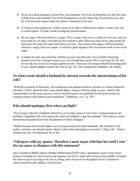- Never do a thing keeping it secret from your husband. Never do anything that you feel the need to hide from your husband. Even if the husband may not be observing, but God does see, and the wife loses her respect when the matter is disclosed at the end.
- If a thing is done against his wishes, never try to hide it. Inform him clearly, as that is the way to retain respect. To hide it leads to disgrace and disrespect.
- Do not argue with him when he is angry. If he is angry with you or a child or a servant, and you know that he is at fault, even then do not respond to him. When he calms down, then gently let him know the truth and make him realize his error. The woman who argues with her husband when he is angry loses her respect. It will be a great disgrace if he uses harsh words to her in his anger.
- Consider his dear ones and their children as your own dear ones. Never think of harming anyone even if he is doing wrong to you. You should have good will in your heart for all, and do not take any action in revenge against anyone. Then you will always behold God doing good to you. (Seerat Hadrat Ammañ Jan, Part II, pp. 167-168, compiled by Mahmad 'Ali 'Irfani)

#### **To what extent should a husband be tolerant towards the shortcomings of his wife?**

"With the exception of indecency, all weaknesses and petulant behavior peculiar to women should be tolerated. I find it shameful that a man should fight a woman. God has made us men, which is the consummation of His grace upon us, and we should express our gratitude for this great bounty by treating women with kindness and compassion." (Malfuzat, vol. 1, p. 307)

## **Who should apologize first when you fight?**

"Never argue with one's husband whilst he is in an angry mood. Even if one's opinions/actions are justified, a dignified wife will express this after her husband's rage has subsided. This leads to a more harmonious household and wins the pleasure of Allah Almighty."

"Hadrat Amman Jan advised ladies never to keep secrets from their husbands. She said that if one makes a mistake, one should openly admit it rather than attempting to conceal it." (Page 186 – Hazrat Amman Jan (ra), An Inspiration for us all)

#### **"I disagree with my spouse. Therefore I must argue with him/her until I win." Do you agree or disagree with this statement?**

Abu Umamah al-Bahili reports: Prophet Muhammad (SAW) said: I guarantee a house in the lower portion of Jannah for whoever gives up arguing even if he is right, and a house in the middle of Jannah for whoever gives up lying even if he is joking, and a house for in the highest level of Jannah for whoever perfects their akhlaq. Abu Dawood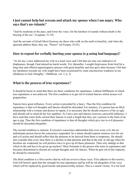#### **I just cannot help but scream and attack my spouse when I am angry. Who says that's un-islamic?**

"And be moderate in thy pace, and lower thy voice; for the harshest of sounds without doubt is the braying of the ass." (Luqman, 31:19).

And the servants of (God) Most Gracious are those who walk on the earth in humility, and when the ignorant address them, they say, "Peace!" (al-Furqan, 25:63).

#### **How to repent for verbally hurting your spouse (e.g using bad language)?**

"As for me, I once addressed my wife in a loud voice and I felt that my tone was indicative of displeasure, though I had uttered no harsh words. Yet, thereafter, I sought forgiveness from God for a long time and offered supererogatory prayers with great humility and also gave alms because I felt that my harshness towards my wife might have been occasioned by some unconscious weakness in my obedience to God Almighty." (Malfuzat, vol. 2, p. 2)

#### **What is the process of true repentance?**

It should be borne in mind that there are three conditions for repentance, without fulfillment of which true repentance is not achieved. The first condition is to get rid of wicked fancies which arouse evil propensities.

Fancies have great influence. Every action is preceded by a fancy. Thus the first condition for repentance is that evil thoughts and fancies should be discarded. For instance, if a person has an illicit relationship with a woman and desires to repent, it is necessary that he should conceive of her as ugly and should call to mind all her low qualities. As I have just said fancies exercise a powerful influence. I have read that some Sufis carried their fancies to such a length that they saw a person in the form of an ape or pig. Thus the first condition of repentance is that all thoughts which give rise to evil pleasures should be discarded altogether.

The second condition is remorse. Everyone's conscience admonishes him over every evil, but an unfortunate person leaves his conscience suspended. So a sinner should express remorse over his sin and evil action and should reflect that the pleasure to be derived from them is temporary. He should also consider that every time there is a decline in that pleasure and that in the end, in old age when his faculties are weakened, he will perforce have to give up all these pleasures. Then why indulge in that which in the end has to be given up anyhow? Most fortunate is the person who turns in repentance and becomes determined to discard all corrupt thoughts and vile fancies. When he gets rid of this impurity, he should be remorseful.

The third condition is a firm resolve that he will not revert to those vices. If he adheres to this resolve, God will bestow upon him the strength for true repentance and he will be rid altogether of his vices which will be replaced by good morals and praiseworthy actions. This is a moral victory. It is for God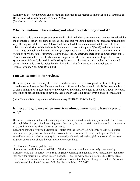Almighty to bestow the power and strength for it for He is the Master of all power and all strength, as He has said: All power belongs to Allah (2:166) (*Malfoozat, Vol. I, pp.132-134).*

#### **What is emotional blackmailing and what does Islam say about it?**

Huzur (aba) said sometimes parents emotionally blackmail their sons in staying together. He added that the Promised Messiah (as) came to spread love and that we should desist from spreading hatred in this way. Having said all this, Huzur (aba) added that indeed the commandment to take care of close relations on both sides of the in-laws is fundamental. Huzur cited part of (24:62) and with reference to the writings of Hadhrat Khalifatul Masih I (ra) explained a most excellent point that a joint family system is only beneficial if it promotes love and affection, otherwise there is no commandment for it. This is obvious as the verse clearly mentions separate abodes for parents and siblings, etc. If this system were followed, the traditional hostility between mother-in-law and daughter-in-law would cease. The Quranic verse is indicative that living in a joint family system is not obligatory. (Friday Sermon, November 10th 2006)

#### **Can we use mediation services?**

Huzur (aba) said unfortunately there is a trend that as soon as the marriage takes place, feelings of hatred emerge. It seems that Ahmadis are being influenced by the others in this. If the marriage is not of one's liking, then in accordance to the pledge of the Nikah, one ought to abide by Taqwa; however, if feelings of dislike continue to develop, then ponder over it all, reflect over it and seek mediation.

(https://www.alislam.org/archives/2006/summary/FSS20061110-EN.html)

#### **Is there any guidance when American Ahmadi men want to have a second wife?**

Huzur (aba) another factor that is creating issues is when men decide to marry a second wife. However, although Islam has permitted marrying more than once, there are certain conditions and circumstances. It is certainly not to fulfil one's carnal passions.

Regarding this, the Promised Messiah (as) states that the law of God Almighty should not be used contrary to its purpose, nor should it be invoked to serve as a shield for self-indulgence. To do so would be a great sin. God Almighty has repeatedly admonished against yielding to carnal passions. Righteousness alone should be your motive for everything.

The Promised Messiah (as) then said:

"Remember it well that the actual Will of God is that you should not be entirely overcome by lustfulness and that to perfect your Taqwah (righteousness), if a genuine need arises, marry again (the real basis for marrying a second time is Taqwah). Thus, to marry again is permissible. However, all those who wish to marry a second time need to assess whether they are doing so based on Taqwah or merely out of their lustful desires?" (Friday Sermon, March 3rd, 2017)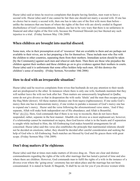Huzur (aba) said at times he receives complaints that despite having families, men want to have a second wife. Huzur (aba) said if one cannot be fair then one should not marry a second wife. If one has no choice but to marry a second wife, then one has to take care of the first wife more than before – unlike the instances that one hears of where the rights of the first wife are slowly eroded in flagrant disobedience of God's commandments. Indeed, one has to be very wary that there is no unfairness in financial and other rights of the first wife, because the Promised Messiah (as) has likened any such injustice to a trial. (Friday Sermon May 15th 2009)

#### **When children are brought into marital discord.**

Some men, who in their presumption avail of 'resources' that are available to them and are perhaps not available to their wives, are in fact preparing a fire for themselves. These include men who flee with the children to other countries, separating them from their mothers. Immediate action should be taken [by the Community] against such men and whoever aids them. Then there are those who prejudice the children against their mothers and these children go on to give evidence against their mothers in courts. Huzur (aba) said it is unfortunate that some office holders help such men. All this destroys the children's sense of morality. (Friday Sermon, November 10th 2006)

#### **How to deal with an irreparable situation?**

Huzur (aba) said he receives complaints from wives that husbands do not pay attention to their needs and are predisposed to the other. In instances where there is only one wife, husbands maintain that they will neither leave the wife nor look after her. Then matters are unnecessarily lengthened in Qadha; some do not give divorce so that in desperation the wife seeks 'khula' and the man thus escapes paying the Haq Mehr (dower). All these matters distance one from taqwa (righteousness). If one seeks God's mercy then one has to demonstrate mercy, if one wishes to partake a measure of God's mercy one has to expand one's mercy. Huzur said the verse following the aforementioned verse states, 'And if they separate, Allah will make both independent out of His abundance; and Allah is Bountiful, Wise' [\(4:131\).](http://tilaw.at/4:131) Here, God commands that if there is no way to reconcile, then do not leave them suspended; rather, separate in the best manner. Ahadith cite divorce as a most unpleasant act, however, if a relationship cannot be maintained on taqwa, then God knows what is in the hearts and if separation is sought while inclined to Him, the All-Embracing God makes bountiful arrangements for all concerned. Huzur (aba) said this verse also establishes the principle that matrimonial relations should not be decided on emotions; rather, they should be decided after careful consideration and seeking the help of God who is All-Embracing. Such matches are blessed by God and He graces them with great scope. (Friday Sermon May 15th 2009)

## **Don't drag matters & be righteous**

Huzur (aba) said that at times men make matters of divorce drag on. There are clear and distinct commandments regarding the rights of the wife after marriage that has lasted a period of time and also where there are children. However, God commands man to fulfil the rights of a wife in the instance of a divorce even where the 'going-away' ceremony has not taken place and the marriage has not been consummated. It is stated in Surah Al Baqarah**,** 'It shall be no sin for you if you divorce women while